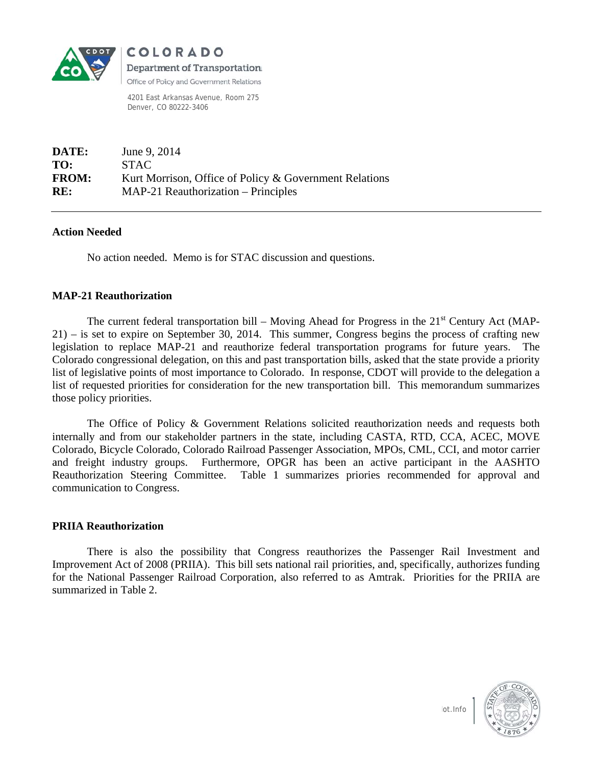

**COLORADO** Department of Transportation Office of Policy and Government Relations

4201 East Arkansas Avenue, Room 275 Denver, CO 80222-3406

| DATE:        | June 9, 2014                                           |
|--------------|--------------------------------------------------------|
| TO:          | <b>STAC</b>                                            |
| <b>FROM:</b> | Kurt Morrison, Office of Policy & Government Relations |
| RE:          | $MAP-21$ Reauthorization – Principles                  |

### **Action Needed**

No action needed. Memo is for STAC discussion and questions.

# **MAP-21 Reauthorization**

The current federal transportation bill – Moving Ahead for Progress in the  $21<sup>st</sup>$  Century Act (MAP- $(21)$  – is set to expire on September 30, 2014. This summer, Congress begins the process of crafting new legislation to replace MAP-21 and reauthorize federal transportation programs for future years. The Colorado congressional delegation, on this and past transportation bills, asked that the state provide a priority list of legislative points of most importance to Colorado. In response, CDOT will provide to the delegation a list of requested priorities for consideration for the new transportation bill. This memorandum summarizes those policy priorities.

The Office of Policy & Government Relations solicited reauthorization needs and requests both internally and from our stakeholder partners in the state, including CASTA, RTD, CCA, ACEC, MOVE Colorado, Bicycle Colorado, Colorado Railroad Passenger Association, MPOs, CML, CCI, and motor carrier and freight industry groups. Furthermore, OPGR has been an active participant in the AASHTO Reauthorization Steering Committee. Table 1 summarizes priories recommended for approval and communication to Congress.

### **PRIIA Reauthorization**

There is also the possibility that Congress reauthorizes the Passenger Rail Investment and Improvement Act of 2008 (PRIIA). This bill sets national rail priorities, and, specifically, authorizes funding for the National Passenger Railroad Corporation, also referred to as Amtrak. Priorities for the PRIIA are summarized in Table 2.



lot.Info